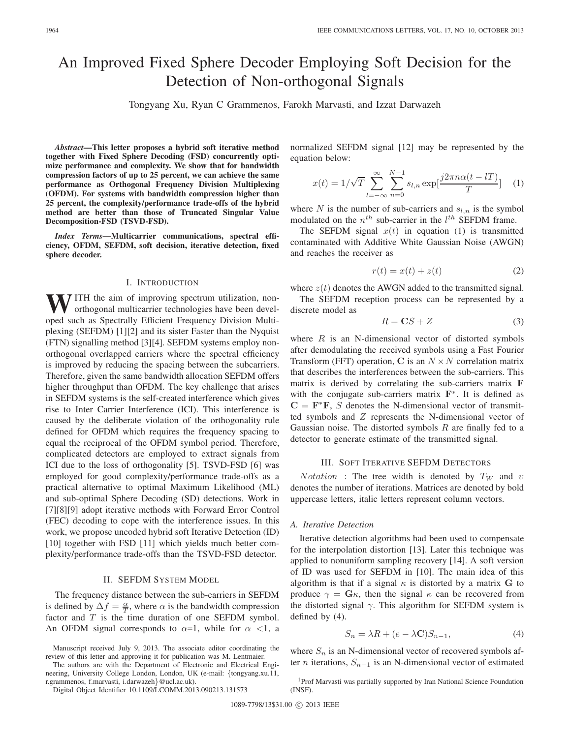# An Improved Fixed Sphere Decoder Employing Soft Decision for the Detection of Non-orthogonal Signals

Tongyang Xu, Ryan C Grammenos, Farokh Marvasti, and Izzat Darwazeh

*Abstract***—This letter proposes a hybrid soft iterative method together with Fixed Sphere Decoding (FSD) concurrently optimize performance and complexity. We show that for bandwidth compression factors of up to 25 percent, we can achieve the same performance as Orthogonal Frequency Division Multiplexing (OFDM). For systems with bandwidth compression higher than 25 percent, the complexity/performance trade-offs of the hybrid method are better than those of Truncated Singular Value Decomposition-FSD (TSVD-FSD).**

*Index Terms***—Multicarrier communications, spectral efficiency, OFDM, SEFDM, soft decision, iterative detection, fixed sphere decoder.**

# I. INTRODUCTION

WITH the aim of improving spectrum utilization, nonorthogonal multicarrier technologies have been developed such as Spectrally Efficient Frequency Division Multiplexing (SEFDM) [1][2] and its sister Faster than the Nyquist (FTN) signalling method [3][4]. SEFDM systems employ nonorthogonal overlapped carriers where the spectral efficiency is improved by reducing the spacing between the subcarriers. Therefore, given the same bandwidth allocation SEFDM offers higher throughput than OFDM. The key challenge that arises in SEFDM systems is the self-created interference which gives rise to Inter Carrier Interference (ICI). This interference is caused by the deliberate violation of the orthogonality rule defined for OFDM which requires the frequency spacing to equal the reciprocal of the OFDM symbol period. Therefore, complicated detectors are employed to extract signals from ICI due to the loss of orthogonality [5]. TSVD-FSD [6] was employed for good complexity/performance trade-offs as a practical alternative to optimal Maximum Likelihood (ML) and sub-optimal Sphere Decoding (SD) detections. Work in [7][8][9] adopt iterative methods with Forward Error Control (FEC) decoding to cope with the interference issues. In this work, we propose uncoded hybrid soft Iterative Detection (ID) [10] together with FSD [11] which yields much better complexity/performance trade-offs than the TSVD-FSD detector.

# II. SEFDM SYSTEM MODEL

The frequency distance between the sub-carriers in SEFDM is defined by  $\Delta f = \frac{\alpha}{T}$ , where  $\alpha$  is the bandwidth compression<br>factor and  $T$  is the time duration of one SEEDM symbol. factor and  $T$  is the time duration of one SEFDM symbol. An OFDM signal corresponds to  $\alpha=1$ , while for  $\alpha<1$ , a

The authors are with the Department of Electronic and Electrical Engineering, University College London, London, UK (e-mail: {tongyang.xu.11, r.grammenos, f.marvasti, i.darwazeh}@ucl.ac.uk).

Digital Object Identifier 10.1109/LCOMM.2013.090213.131573

normalized SEFDM signal [12] may be represented by the equation below:

$$
x(t) = 1/\sqrt{T} \sum_{l=-\infty}^{\infty} \sum_{n=0}^{N-1} s_{l,n} \exp[\frac{j2\pi n\alpha(t - lT)}{T}] \quad (1)
$$

where N is the number of sub-carriers and  $s_{l,n}$  is the symbol modulated on the  $n^{th}$  sub-carrier in the  $l^{th}$  SEFDM frame.

The SEFDM signal  $x(t)$  in equation (1) is transmitted contaminated with Additive White Gaussian Noise (AWGN) and reaches the receiver as

$$
r(t) = x(t) + z(t) \tag{2}
$$

where  $z(t)$  denotes the AWGN added to the transmitted signal.

The SEFDM reception process can be represented by a discrete model as

$$
R = \mathbf{C}S + Z \tag{3}
$$

where  $R$  is an N-dimensional vector of distorted symbols after demodulating the received symbols using a Fast Fourier Transform (FFT) operation, C is an  $N \times N$  correlation matrix that describes the interferences between the sub-carriers. This matrix is derived by correlating the sub-carriers matrix **F** with the conjugate sub-carriers matrix **F**<sup>∗</sup>. It is defined as  $C = F^*F$ , S denotes the N-dimensional vector of transmitted symbols and Z represents the N-dimensional vector of Gaussian noise. The distorted symbols  $R$  are finally fed to a detector to generate estimate of the transmitted signal.

# III. SOFT ITERATIVE SEFDM DETECTORS

 $Notation$  : The tree width is denoted by  $T_W$  and  $v$ denotes the number of iterations. Matrices are denoted by bold uppercase letters, italic letters represent column vectors.

## *A. Iterative Detection*

Iterative detection algorithms had been used to compensate for the interpolation distortion [13]. Later this technique was applied to nonuniform sampling recovery [14]. A soft version of ID was used for SEFDM in [10]. The main idea of this algorithm is that if a signal  $\kappa$  is distorted by a matrix **G** to produce  $\gamma = \mathbf{G}\kappa$ , then the signal  $\kappa$  can be recovered from the distorted signal  $\gamma$ . This algorithm for SEFDM system is defined by (4).

$$
S_n = \lambda R + (e - \lambda \mathbf{C}) S_{n-1},\tag{4}
$$

where  $S_n$  is an N-dimensional vector of recovered symbols after *n* iterations,  $S_{n-1}$  is an N-dimensional vector of estimated

<sup>1</sup>Prof Marvasti was partially supported by Iran National Science Foundation (INSF).

Manuscript received July 9, 2013. The associate editor coordinating the review of this letter and approving it for publication was M. Lentmaier.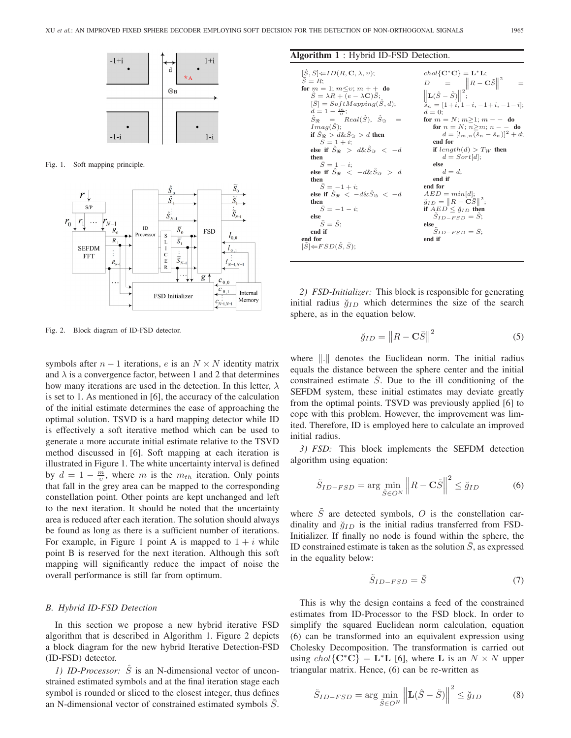

Fig. 1. Soft mapping principle.



Fig. 2. Block diagram of ID-FSD detector.

symbols after  $n - 1$  iterations, e is an  $N \times N$  identity matrix and  $\lambda$  is a convergence factor, between 1 and 2 that determines how many iterations are used in the detection. In this letter,  $\lambda$ is set to 1. As mentioned in [6], the accuracy of the calculation of the initial estimate determines the ease of approaching the optimal solution. TSVD is a hard mapping detector while ID is effectively a soft iterative method which can be used to generate a more accurate initial estimate relative to the TSVD method discussed in [6]. Soft mapping at each iteration is illustrated in Figure 1. The white uncertainty interval is defined by  $d = 1 - \frac{m}{v}$ , where m is the  $m_{th}$  iteration. Only points that fall in the grey area can be manned to the corresponding that fall in the grey area can be mapped to the corresponding constellation point. Other points are kept unchanged and left to the next iteration. It should be noted that the uncertainty area is reduced after each iteration. The solution should always be found as long as there is a sufficient number of iterations. For example, in Figure 1 point A is mapped to  $1 + i$  while point B is reserved for the next iteration. Although this soft mapping will significantly reduce the impact of noise the overall performance is still far from optimum.

## *B. Hybrid ID-FSD Detection*

In this section we propose a new hybrid iterative FSD algorithm that is described in Algorithm 1. Figure 2 depicts a block diagram for the new hybrid Iterative Detection-FSD (ID-FSD) detector.

*1) ID-Processor:*  $\hat{S}$  is an N-dimensional vector of unconstrained estimated symbols and at the final iteration stage each symbol is rounded or sliced to the closest integer, thus defines an N-dimensional vector of constrained estimated symbols  $\overline{S}$ .

## **Algorithm 1** : Hybrid ID-FSD Detection.

|  | $S_{ID-FSD} = S$<br>else<br>$\bar{S} = \bar{S}$<br>else<br>$S_{ID-FSD} = S$<br>end if<br>end for<br>end if<br>$[\tilde{S}] \leftarrow FSD(\hat{S}, \bar{S});$ | $\breve{q}_{ID} =   R - \mathbf{C}\bar{S}  ^2;$<br>then | else if $\hat{S}_{\Re} < -d\&\hat{S}_{\Re} < -d$<br>$AED = min  d ;$ | end if<br>then | else if $\hat{S}_{\mathfrak{B}} < -d\&\hat{S}_{\mathfrak{B}} > d$<br>$d = d$ : | else if $\hat{S}_{\Re} > d\&\hat{S}_{\Re} < -d$<br>if $length(d) > T_W$ then | end for<br>$S = 1 + i$ ; |  | $[\tilde{S}, \tilde{S}] \leftarrow ID(R, \mathbf{C}, \lambda, v);$<br>$S = R$ :<br>for $m = 1$ ; $m \le v$ ; $m + +$ do<br>$\ddot{S} = \lambda R + (e - \lambda \mathbf{C}) S;$<br>$[S] = SoftMapping(S, d);$<br>$d=1-\frac{m}{n};$<br>$\hat{S}_{\mathfrak{B}} = Real(\hat{S}), \hat{S}_{\mathfrak{B}}$<br>$Imag(\ddot{S})$ :<br>if $\hat{S}_\Re$ > $d\&\check{S}_\Re$ > d then<br>then<br>$\bar{S} = 1 - i$ ;<br>$\bar{S} = -1 + i$ ;<br>$\bar{S} = -1 - i$ | $chol\{C^*C\} = L^*L;$<br>$D = \ R - \mathbf{C}\tilde{S}\ ^2$<br>$  \mathbf{L}(\hat{S} - \tilde{S})  ^2;$<br>$\tilde{s}_n = [1+i, 1-i, -1+i, -1-i];$<br>$d=0$ :<br>for $m = N$ : $m > 1$ : $m = -$ do<br>for $n = N$ ; $n>m$ ; $n = -$ do<br>$d = [l_{m,n}(\hat{s}_n - \tilde{s}_n)]^2 + d;$<br>$d = Sort[d]$ ;<br>else<br>end for<br>if $AED \leq \check{q}_{ID}$ then |
|--|---------------------------------------------------------------------------------------------------------------------------------------------------------------|---------------------------------------------------------|----------------------------------------------------------------------|----------------|--------------------------------------------------------------------------------|------------------------------------------------------------------------------|--------------------------|--|--------------------------------------------------------------------------------------------------------------------------------------------------------------------------------------------------------------------------------------------------------------------------------------------------------------------------------------------------------------------------------------------------------------------------------------------------------------|-------------------------------------------------------------------------------------------------------------------------------------------------------------------------------------------------------------------------------------------------------------------------------------------------------------------------------------------------------------------------|
|  |                                                                                                                                                               |                                                         |                                                                      |                |                                                                                |                                                                              |                          |  |                                                                                                                                                                                                                                                                                                                                                                                                                                                              |                                                                                                                                                                                                                                                                                                                                                                         |
|  |                                                                                                                                                               |                                                         |                                                                      |                |                                                                                |                                                                              |                          |  |                                                                                                                                                                                                                                                                                                                                                                                                                                                              |                                                                                                                                                                                                                                                                                                                                                                         |
|  |                                                                                                                                                               |                                                         |                                                                      |                |                                                                                |                                                                              |                          |  |                                                                                                                                                                                                                                                                                                                                                                                                                                                              |                                                                                                                                                                                                                                                                                                                                                                         |
|  |                                                                                                                                                               |                                                         |                                                                      |                |                                                                                |                                                                              |                          |  |                                                                                                                                                                                                                                                                                                                                                                                                                                                              |                                                                                                                                                                                                                                                                                                                                                                         |
|  |                                                                                                                                                               |                                                         |                                                                      |                |                                                                                |                                                                              |                          |  |                                                                                                                                                                                                                                                                                                                                                                                                                                                              |                                                                                                                                                                                                                                                                                                                                                                         |

*2) FSD-Initializer:* This block is responsible for generating initial radius  $\breve{g}_{ID}$  which determines the size of the search sphere, as in the equation below.

$$
\breve{g}_{ID} = ||R - \mathbf{C}\bar{S}||^2 \tag{5}
$$

where  $\| \cdot \|$  denotes the Euclidean norm. The initial radius equals the distance between the sphere center and the initial constrained estimate  $S$ . Due to the ill conditioning of the SEFDM system, these initial estimates may deviate greatly from the optimal points. TSVD was previously applied [6] to cope with this problem. However, the improvement was limited. Therefore, ID is employed here to calculate an improved initial radius.

*3) FSD:* This block implements the SEFDM detection algorithm using equation:

$$
\tilde{S}_{ID-FSD} = \arg\min_{\tilde{S}\in O^N} \left\| R - \mathbf{C}\tilde{S} \right\|^2 \le \tilde{g}_{ID} \tag{6}
$$

where  $\tilde{S}$  are detected symbols, O is the constellation cardinality and  $\breve{g}_{ID}$  is the initial radius transferred from FSD-Initializer. If finally no node is found within the sphere, the ID constrained estimate is taken as the solution  $\overline{S}$ , as expressed in the equality below:

$$
\tilde{S}_{ID-FSD} = \bar{S} \tag{7}
$$

This is why the design contains a feed of the constrained estimates from ID-Processor to the FSD block. In order to simplify the squared Euclidean norm calculation, equation (6) can be transformed into an equivalent expression using Cholesky Decomposition. The transformation is carried out using  $chol\{C^*C\} = L^*L$  [6], where L is an  $N \times N$  upper triangular matrix. Hence, (6) can be re-written as

$$
\tilde{S}_{ID-FSD} = \arg\min_{\tilde{S} \in O^N} \left\| \mathbf{L}(\hat{S} - \tilde{S}) \right\|^2 \le \breve{g}_{ID} \tag{8}
$$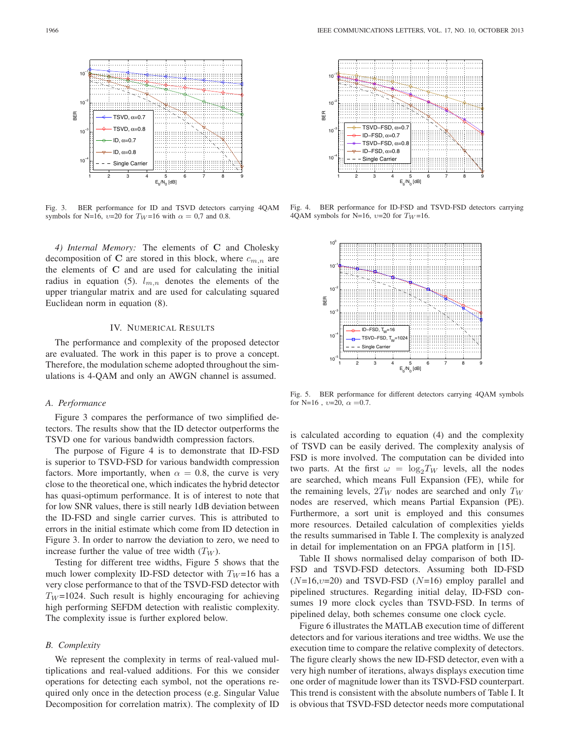

Fig. 3. BER performance for ID and TSVD detectors carrying 4QAM symbols for N=16,  $v=20$  for  $T_W=16$  with  $\alpha = 0.7$  and 0.8.

*4) Internal Memory:* The elements of **C** and Cholesky decomposition of C are stored in this block, where  $c_{m,n}$  are the elements of **C** and are used for calculating the initial radius in equation (5).  $l_{m,n}$  denotes the elements of the upper triangular matrix and are used for calculating squared Euclidean norm in equation (8).

# IV. NUMERICAL RESULTS

The performance and complexity of the proposed detector are evaluated. The work in this paper is to prove a concept. Therefore, the modulation scheme adopted throughout the simulations is 4-QAM and only an AWGN channel is assumed.

# *A. Performance*

Figure 3 compares the performance of two simplified detectors. The results show that the ID detector outperforms the TSVD one for various bandwidth compression factors.

The purpose of Figure 4 is to demonstrate that ID-FSD is superior to TSVD-FSD for various bandwidth compression factors. More importantly, when  $\alpha = 0.8$ , the curve is very close to the theoretical one, which indicates the hybrid detector has quasi-optimum performance. It is of interest to note that for low SNR values, there is still nearly 1dB deviation between the ID-FSD and single carrier curves. This is attributed to errors in the initial estimate which come from ID detection in Figure 3. In order to narrow the deviation to zero, we need to increase further the value of tree width  $(T_W)$ .

Testing for different tree widths, Figure 5 shows that the much lower complexity ID-FSD detector with  $T_W = 16$  has a very close performance to that of the TSVD-FSD detector with  $T_W$ =1024. Such result is highly encouraging for achieving high performing SEFDM detection with realistic complexity. The complexity issue is further explored below.

# *B. Complexity*

We represent the complexity in terms of real-valued multiplications and real-valued additions. For this we consider operations for detecting each symbol, not the operations required only once in the detection process (e.g. Singular Value Decomposition for correlation matrix). The complexity of ID



Fig. 4. BER performance for ID-FSD and TSVD-FSD detectors carrying 4QAM symbols for N=16,  $v=20$  for  $T_W=16$ .



Fig. 5. BER performance for different detectors carrying 4QAM symbols for N=16,  $v=20$ ,  $\alpha =0.7$ .

is calculated according to equation (4) and the complexity of TSVD can be easily derived. The complexity analysis of FSD is more involved. The computation can be divided into two parts. At the first  $\omega = \log_2 T_W$  levels, all the nodes are searched, which means Full Expansion (FE), while for the remaining levels,  $2T_W$  nodes are searched and only  $T_W$ nodes are reserved, which means Partial Expansion (PE). Furthermore, a sort unit is employed and this consumes more resources. Detailed calculation of complexities yields the results summarised in Table I. The complexity is analyzed in detail for implementation on an FPGA platform in [15].

Table II shows normalised delay comparison of both ID-FSD and TSVD-FSD detectors. Assuming both ID-FSD  $(N=16, v=20)$  and TSVD-FSD  $(N=16)$  employ parallel and pipelined structures. Regarding initial delay, ID-FSD consumes 19 more clock cycles than TSVD-FSD. In terms of pipelined delay, both schemes consume one clock cycle.

Figure 6 illustrates the MATLAB execution time of different detectors and for various iterations and tree widths. We use the execution time to compare the relative complexity of detectors. The figure clearly shows the new ID-FSD detector, even with a very high number of iterations, always displays execution time one order of magnitude lower than its TSVD-FSD counterpart. This trend is consistent with the absolute numbers of Table I. It is obvious that TSVD-FSD detector needs more computational